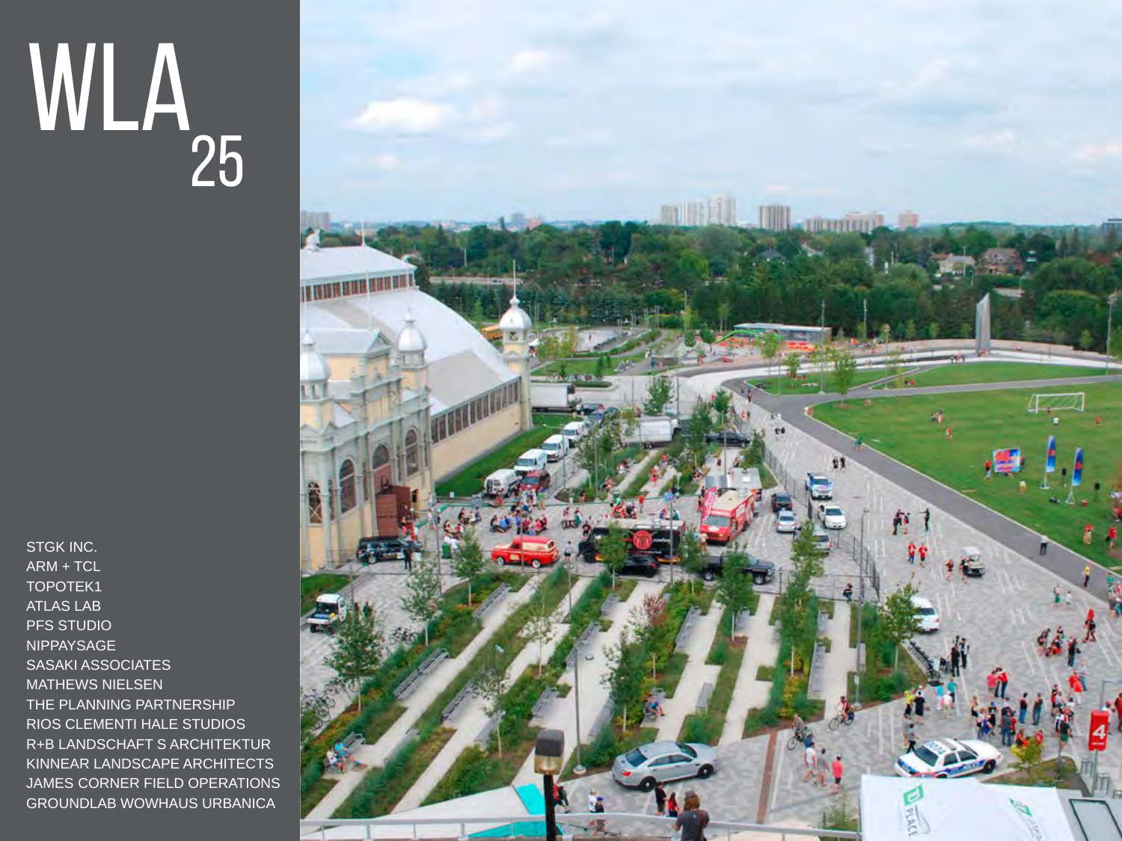## WLa 25

STGK INC. ARM + TCL TOPOTEK1 ATLAS LAB PFS STUDIO NIPPAYSAGE SASAKI ASSOCIATES MATHEWS NIELSEN THE PLANNING PARTNERSHIP RIOS CLEMENTI HALE STUDIOS R+B LANDSCHAFT S ARCHITEKTUR KINNEAR LANDSCAPE ARCHITECTS JAMES CORNER FIELD OPERATIONS GROUNDLAB WOWHAUS URBANICA

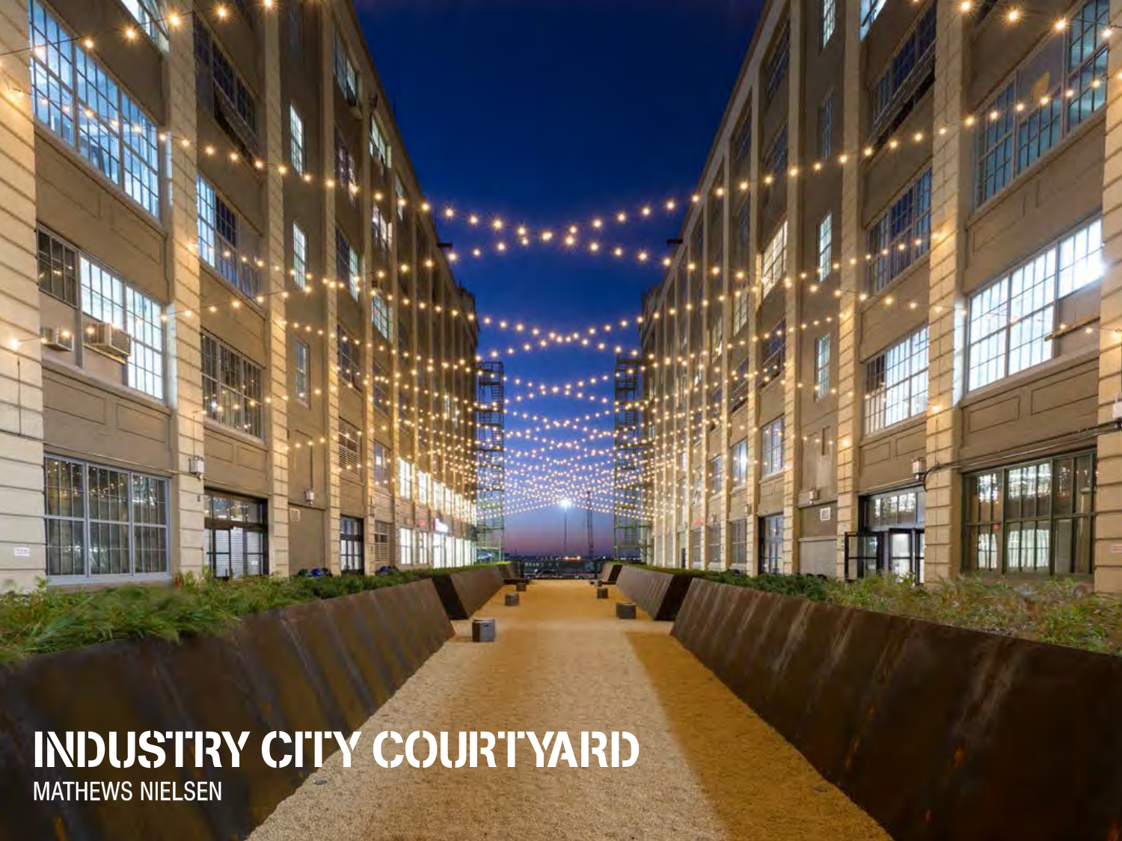INDUSTRY CITY COURTYARD MATHEWS NIELSEN

Π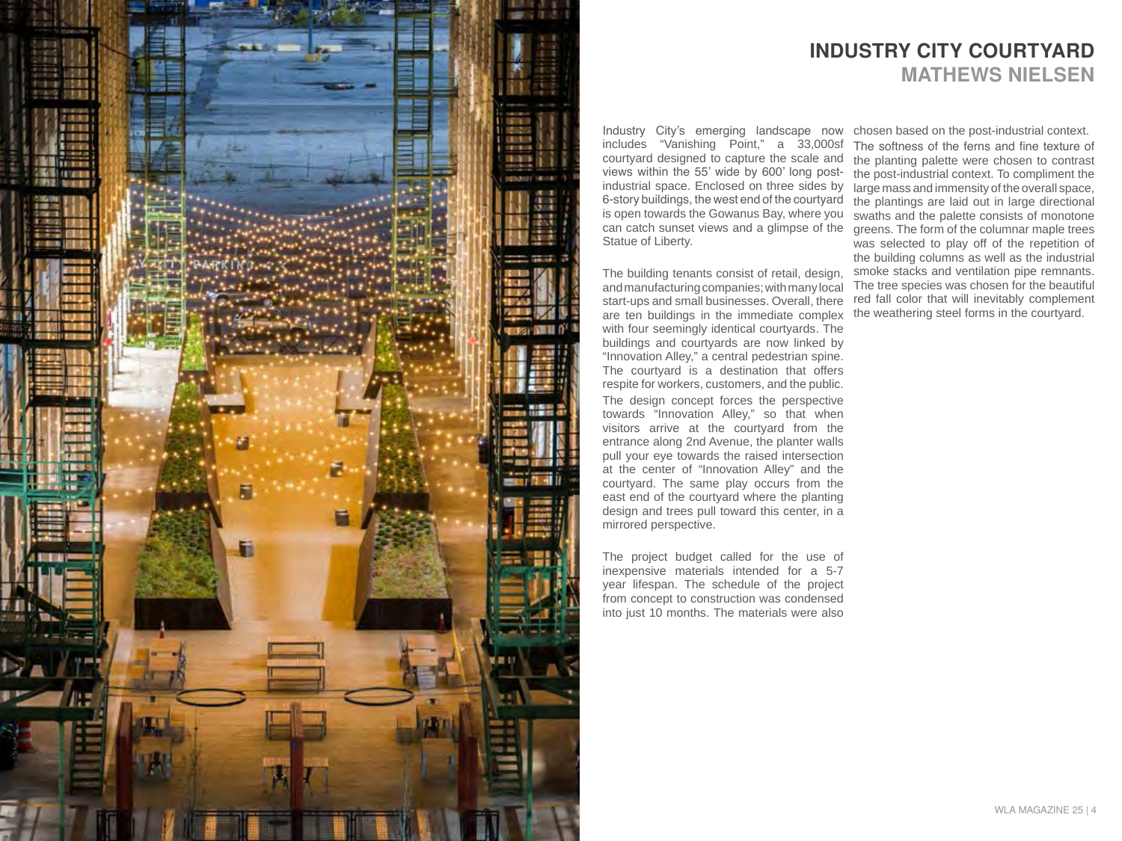

Industry City's emerging landscape now chosen based on the post-industrial context. industrial space. Enclosed on three sides by large mass and immensity of the overall space, includes "Vanishing Point," a 33,000sf courtyard designed to capture the scale and views within the 55' wide by 600' long post-6-story buildings, the west end of the courtyard is open towards the Gowanus Bay, where you can catch sunset views and a glimpse of the Statue of Liberty.

The building tenants consist of retail, design, and manufacturing companies; with many local start-ups and small businesses. Overall, there are ten buildings in the immediate complex with four seemingly identical courtyards. The buildings and courtyards are now linked by "Innovation Alley," a central pedestrian spine. The courtyard is a destination that offers respite for workers, customers, and the public. The design concept forces the perspective towards "Innovation Alley," so that when visitors arrive at the courtyard from the entrance along 2nd Avenue, the planter walls pull your eye towards the raised intersection at the center of "Innovation Alley" and the courtyard. The same play occurs from the east end of the courtyard where the planting design and trees pull toward this center, in a mirrored perspective.

The project budget called for the use of inexpensive materials intended for a 5-7 year lifespan. The schedule of the project from concept to construction was condensed into just 10 months. The materials were also

## INDUSTRY CITY COURTYARD MATHEWS NIELSEN

The softness of the ferns and fine texture of the planting palette were chosen to contrast the post-industrial context. To compliment the the plantings are laid out in large directional swaths and the palette consists of monotone greens. The form of the columnar maple trees was selected to play off of the repetition of the building columns as well as the industrial smoke stacks and ventilation pipe remnants. The tree species was chosen for the beautiful red fall color that will inevitably complement the weathering steel forms in the courtyard.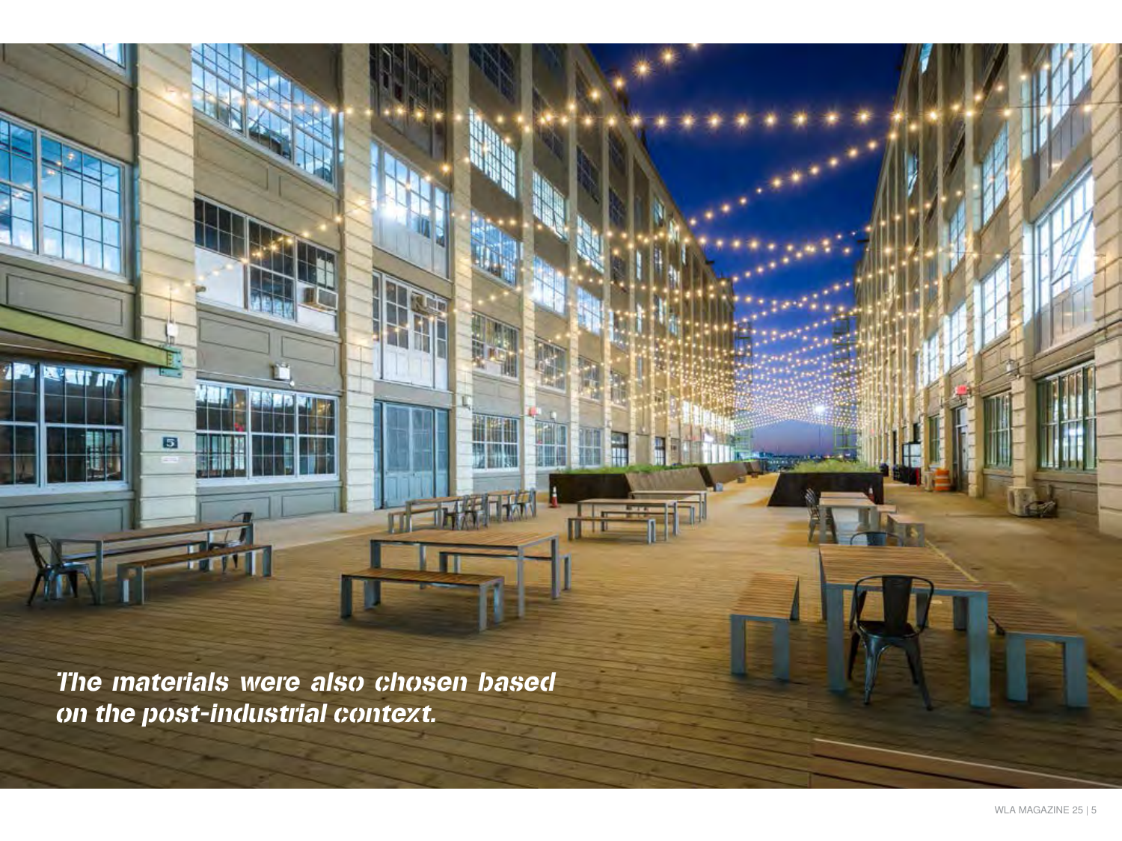The materials were also chosen based on the post-industrial context.

W

 $\mathbf{5}$